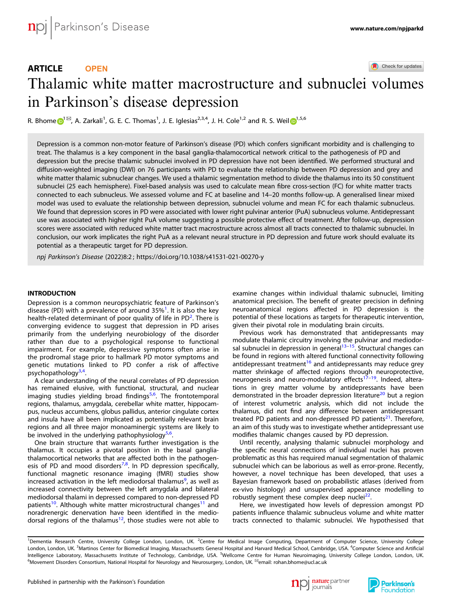## ARTICLE **OPEN**

Check for updates

# Thalamic white matter macrostructure and subnuclei volumes in Parkinson's disease depression

R. Bhom[e](http://orcid.org/0000-0002-8317-7930)  $\bigodot^{1\,\boxtimes\!}$  $\bigodot^{1\,\boxtimes\!}$  $\bigodot^{1\,\boxtimes\!}$ , A. Zarka[l](http://orcid.org/0000-0002-5092-6325)i<sup>1</sup>, G. E. C. Thomas<sup>1</sup>, J. E. Iglesias<sup>2,3,4</sup>, J. H. Cole<sup>1,2</sup> and R. S. Weil  $\bigodot^{1,5,6}$ 

Depression is a common non-motor feature of Parkinson's disease (PD) which confers significant morbidity and is challenging to treat. The thalamus is a key component in the basal ganglia-thalamocortical network critical to the pathogenesis of PD and depression but the precise thalamic subnuclei involved in PD depression have not been identified. We performed structural and diffusion-weighted imaging (DWI) on 76 participants with PD to evaluate the relationship between PD depression and grey and white matter thalamic subnuclear changes. We used a thalamic segmentation method to divide the thalamus into its 50 constituent subnuclei (25 each hemisphere). Fixel-based analysis was used to calculate mean fibre cross-section (FC) for white matter tracts connected to each subnucleus. We assessed volume and FC at baseline and 14–20 months follow-up. A generalised linear mixed model was used to evaluate the relationship between depression, subnuclei volume and mean FC for each thalamic subnucleus. We found that depression scores in PD were associated with lower right pulvinar anterior (PuA) subnucleus volume. Antidepressant use was associated with higher right PuA volume suggesting a possible protective effect of treatment. After follow-up, depression scores were associated with reduced white matter tract macrostructure across almost all tracts connected to thalamic subnuclei. In conclusion, our work implicates the right PuA as a relevant neural structure in PD depression and future work should evaluate its potential as a therapeutic target for PD depression.

npj Parkinson's Disease (2022) 8:2 ; https://doi.org/10.[1038/s41531-021-00270-y](https://doi.org/10.1038/s41531-021-00270-y)

## INTRODUCTION

Depression is a common neuropsychiatric feature of Parkinson's disease (PD) with a prevalence of around 35%<sup>[1](#page-8-0)</sup>. It is also the key health-related determinant of poor quality of life in PD<sup>[2](#page-8-0)</sup>. There is converging evidence to suggest that depression in PD arises primarily from the underlying neurobiology of the disorder rather than due to a psychological response to functional impairment. For example, depressive symptoms often arise in the prodromal stage prior to hallmark PD motor symptoms and genetic mutations linked to PD confer a risk of affective psychopathology<sup>[3](#page-8-0),[4](#page-8-0)</sup> .

A clear understanding of the neural correlates of PD depression has remained elusive, with functional, structural, and nuclear imaging studies yielding broad findings<sup>[5](#page-8-0),[6](#page-8-0)</sup>. The frontotemporal regions, thalamus, amygdala, cerebellar white matter, hippocampus, nucleus accumbens, globus pallidus, anterior cingulate cortex and insula have all been implicated as potentially relevant brain regions and all three major monoaminergic systems are likely to be involved in the underlying pathophysiology $5.6$  $5.6$  $5.6$ . .

One brain structure that warrants further investigation is the thalamus. It occupies a pivotal position in the basal gangliathalamocortical networks that are affected both in the pathogen-esis of PD and mood disorders<sup>[7](#page-8-0),[8](#page-8-0)</sup>. In PD depression specifically, functional magnetic resonance imaging (fMRI) studies show increased activation in the left mediodorsal thalamus<sup>[9](#page-8-0)</sup>, as well as increased connectivity between the left amygdala and bilateral mediodorsal thalami in depressed compared to non-depressed PD patients<sup>10</sup>. Although white matter microstructural changes<sup>11</sup> and noradrenergic denervation have been identified in the medio-dorsal regions of the thalamus<sup>[12](#page-8-0)</sup>, those studies were not able to examine changes within individual thalamic subnuclei, limiting anatomical precision. The benefit of greater precision in defining neuroanatomical regions affected in PD depression is the potential of these locations as targets for therapeutic intervention, given their pivotal role in modulating brain circuits.

Previous work has demonstrated that antidepressants may modulate thalamic circuitry involving the pulvinar and mediodor-sal subnuclei in depression in general<sup>13–[15](#page-8-0)</sup>. Structural changes can be found in regions with altered functional connectivity following antidepressant treatment<sup>[16](#page-8-0)</sup> and antidepressants may reduce grey matter shrinkage of affected regions through neuroprotective, neurogenesis and neuro-modulatory effects<sup>[17](#page-8-0)-[19](#page-8-0)</sup>. Indeed, alterations in grey matter volume by antidepressants have been demonstrated in the broader depression literature<sup>[20](#page-8-0)</sup> but a region of interest volumetric analysis, which did not include the thalamus, did not find any difference between antidepressant treated PD patients and non-depressed PD patients $^{21}$  $^{21}$  $^{21}$ . Therefore, an aim of this study was to investigate whether antidepressant use modifies thalamic changes caused by PD depression.

Until recently, analysing thalamic subnuclei morphology and the specific neural connections of individual nuclei has proven problematic as this has required manual segmentation of thalamic subnuclei which can be laborious as well as error-prone. Recently, however, a novel technique has been developed, that uses a Bayesian framework based on probabilistic atlases (derived from ex-vivo histology) and unsupervised appearance modelling to robustly segment these complex deep nuclei<sup>22</sup>.

Here, we investigated how levels of depression amongst PD patients influence thalamic subnucleus volume and white matter tracts connected to thalamic subnuclei. We hypothesised that





<sup>&</sup>lt;sup>1</sup>Dementia Research Centre, University College London, London, UK. <sup>2</sup>Centre for Medical Image Computing, Department of Computer Science, University College London, London, UK. <sup>3</sup>Martinos Center for Biomedical Imaging, Massachusetts General Hospital and Harvard Medical School, Cambridge, USA. <sup>4</sup>Computer Science and Artificial Intelligence Laboratory, Massachusetts Institute of Technology, Cambridge, USA. <sup>5</sup>Wellcome Centre for Human Neuroimaging, University College London, London, UK. الله - Movement Disorders Consortium, National Hospital for Neurology and Neurosurgery, London, UK. email: [rohan.bhome@ucl.ac.uk](mailto:rohan.bhome@ucl.ac.uk)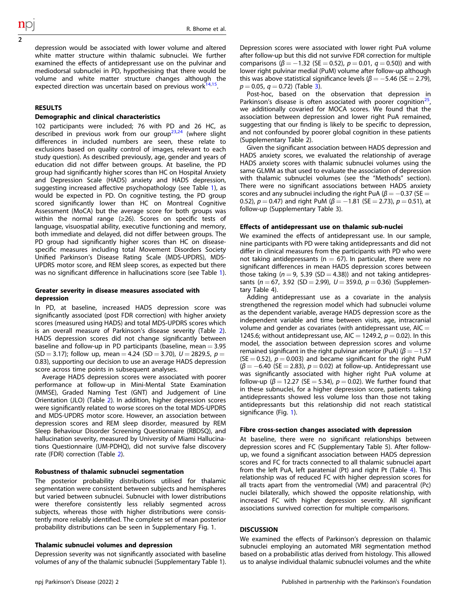depression would be associated with lower volume and altered white matter structure within thalamic subnuclei. We further examined the effects of antidepressant use on the pulvinar and mediodorsal subnuclei in PD, hypothesising that there would be volume and white matter structure changes although the expected direction was uncertain based on previous work $14,15$  $14,15$ .

## **RESULTS**

## Demographic and clinical characteristics

102 participants were included; 76 with PD and 26 HC, as described in previous work from our group<sup>[23,24](#page-8-0)</sup> (where slight differences in included numbers are seen, these relate to exclusions based on quality control of images, relevant to each study question). As described previously, age, gender and years of education did not differ between groups. At baseline, the PD group had significantly higher scores than HC on Hospital Anxiety and Depression Scale (HADS) anxiety and HADS depression, suggesting increased affective psychopathology (see Table [1](#page-2-0)), as would be expected in PD. On cognitive testing, the PD group scored significantly lower than HC on Montreal Cognitive Assessment (MoCA) but the average score for both groups was within the normal range (≥26). Scores on specific tests of language, visuospatial ability, executive functioning and memory, both immediate and delayed, did not differ between groups. The PD group had significantly higher scores than HC on diseasespecific measures including total Movement Disorders Society Unified Parkinson's Disease Rating Scale (MDS-UPDRS), MDS-UPDRS motor score, and REM sleep scores, as expected but there was no significant difference in hallucinations score (see Table [1](#page-2-0)).

## Greater severity in disease measures associated with depression

In PD, at baseline, increased HADS depression score was significantly associated (post FDR correction) with higher anxiety scores (measured using HADS) and total MDS-UPDRS scores which is an overall measure of Parkinson's disease severity (Table [2](#page-3-0)). HADS depression scores did not change significantly between baseline and follow-up in PD participants (baseline, mean  $=$  3.95  $(SD = 3.17)$ ; follow up, mean = 4.24  $(SD = 3.70)$ ,  $U = 2829.5$ ,  $p =$ 0.83), supporting our decision to use an average HADS depression score across time points in subsequent analyses.

Average HADS depression scores were associated with poorer performance at follow-up in Mini-Mental State Examination (MMSE), Graded Naming Test (GNT) and Judgement of Line Orientation (JLO) (Table [2\)](#page-3-0). In addition, higher depression scores were significantly related to worse scores on the total MDS-UPDRS and MDS-UPDRS motor score. However, an association between depression scores and REM sleep disorder, measured by REM Sleep Behaviour Disorder Screening Questionnaire (RBDSQ), and hallucination severity, measured by University of Miami Hallucinations Questionnaire (UM-PDHQ), did not survive false discovery rate (FDR) correction (Table [2](#page-3-0)).

## Robustness of thalamic subnuclei segmentation

The posterior probability distributions utilised for thalamic segmentation were consistent between subjects and hemispheres but varied between subnuclei. Subnuclei with lower distributions were therefore consistently less reliably segmented across subjects, whereas those with higher distributions were consistently more reliably identified. The complete set of mean posterior probability distributions can be seen in Supplementary Fig. 1.

## Thalamic subnuclei volumes and depression

Depression severity was not significantly associated with baseline volumes of any of the thalamic subnuclei (Supplementary Table 1). Depression scores were associated with lower right PuA volume after follow-up but this did not survive FDR correction for multiple comparisons ( $\beta = -1.32$  (SE = 0.52),  $p = 0.01$ ,  $q = 0.50$ )) and with lower right pulvinar medial (PuM) volume after follow-up although this was above statistical significance levels ( $\beta = -5.46$  (SE = 2.79),  $p = 0.05$ ,  $q = 0.72$ ) (Table [3](#page-4-0)).

Post-hoc, based on the observation that depression in Parkinson's disease is often associated with poorer cognition<sup>21</sup> we additionally covaried for MOCA scores. We found that the association between depression and lower right PuA remained, suggesting that our finding is likely to be specific to depression, and not confounded by poorer global cognition in these patients (Supplementary Table 2).

Given the significant association between HADS depression and HADS anxiety scores, we evaluated the relationship of average HADS anxiety scores with thalamic subnuclei volumes using the same GLMM as that used to evaluate the association of depression with thalamic subnuclei volumes (see the "Methods" section). There were no significant associations between HADS anxiety scores and any subnuclei including the right PuA ( $\beta = -0.37$  (SE = 0.52),  $p = 0.47$ ) and right PuM ( $\beta = -1.81$  (SE = 2.73),  $p = 0.51$ ), at follow-up (Supplementary Table 3).

## Effects of antidepressant use on thalamic sub-nuclei

We examined the effects of antidepressant use. In our sample, nine participants with PD were taking antidepressants and did not differ in clinical measures from the participants with PD who were not taking antidepressants ( $n = 67$ ). In particular, there were no significant differences in mean HADS depression scores between those taking ( $n = 9$ , 5.39 (SD = 4.38)) and not taking antidepressants ( $n = 67$ , 3.92 (SD = 2.99),  $U = 359.0$ ,  $p = 0.36$ ) (Supplementary Table 4).

Adding antidepressant use as a covariate in the analysis strengthened the regression model which had subnuclei volume as the dependent variable, average HADS depression score as the independent variable and time between visits, age, intracranial volume and gender as covariates (with antidepressant use,  $AIC =$ 1245.6; without antidepressant use, AIC = 1249.2,  $p = 0.02$ ). In this model, the association between depression scores and volume remained significant in the right pulvinar anterior (PuA) ( $\beta = -1.57$  $(SE = 0.52)$ ,  $p = 0.003$ ) and became significant for the right PuM  $(\beta = -6.40$  (SE = 2.83),  $p = 0.02$ ) at follow-up. Antidepressant use was significantly associated with higher right PuA volume at follow-up ( $\beta$  = 12.27 (SE = 5.34),  $p$  = 0.02). We further found that in these subnuclei, for a higher depression score, patients taking antidepressants showed less volume loss than those not taking antidepressants but this relationship did not reach statistical significance (Fig. [1](#page-5-0)).

## Fibre cross-section changes associated with depression

At baseline, there were no significant relationships between depression scores and FC (Supplementary Table 5). After followup, we found a significant association between HADS depression scores and FC for tracts connected to all thalamic subnuclei apart from the left PuA, left paratenial (Pt) and right Pt (Table [4\)](#page-6-0). This relationship was of reduced FC with higher depression scores for all tracts apart from the ventromedial (VM) and paracentral (Pc) nuclei bilaterally, which showed the opposite relationship, with increased FC with higher depression severity. All significant associations survived correction for multiple comparisons.

## **DISCUSSION**

We examined the effects of Parkinson's depression on thalamic subnuclei employing an automated MRI segmentation method based on a probabilistic atlas derived from histology. This allowed us to analyse individual thalamic subnuclei volumes and the white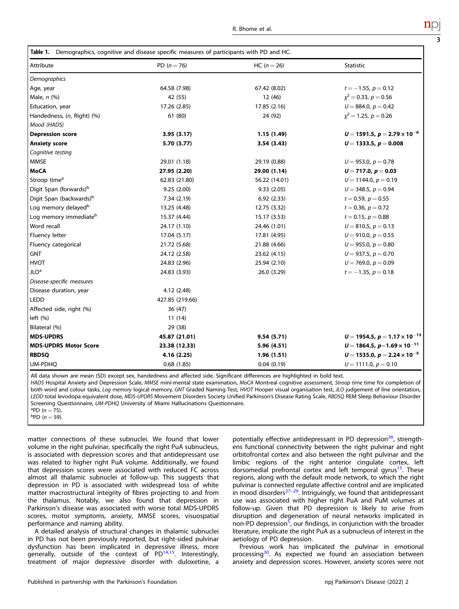<span id="page-2-0"></span>

| Table 1. Demographics, cognitive and disease specific measures of participants with PD and HC. |  |  |  |  |
|------------------------------------------------------------------------------------------------|--|--|--|--|
|                                                                                                |  |  |  |  |

| Attribute                           | PD $(n = 76)$   | $HC (n = 26)$ | <b>Statistic</b>                          |
|-------------------------------------|-----------------|---------------|-------------------------------------------|
| Demographics                        |                 |               |                                           |
| Age, year                           | 64.58 (7.98)    | 67.42 (8.02)  | $t = -1.55$ , $p = 0.12$                  |
| Male, $n$ $(\%)$                    | 42 (55)         | 12 (46)       | $\chi^2$ = 0.33, p = 0.56                 |
| Education, year                     | 17.26 (2.85)    | 17.85 (2.16)  | $U = 884.0, p = 0.42$                     |
| Handedness, (n, Right) (%)          | 61 (80)         | 24 (92)       | $x^2 = 1.25$ , $p = 0.26$                 |
| Mood (HADS)                         |                 |               |                                           |
| <b>Depression score</b>             | 3.95(3.17)      | 1.15(1.49)    | $U = 1591.5$ , $p = 2.79 \times 10^{-6}$  |
| <b>Anxiety score</b>                | 5.70 (3.77)     | 3.54(3.43)    | $U = 1333.5, p = 0.008$                   |
| Cognitive testing                   |                 |               |                                           |
| <b>MMSE</b>                         | 29.01 (1.18)    | 29.19 (0.88)  | $U = 953.0, p = 0.78$                     |
| <b>MoCA</b>                         | 27.95 (2.20)    | 29.00 (1.14)  | $U = 717.0, p = 0.03$                     |
| Stroop time <sup>a</sup>            | 62.83 (21.80)   | 56.22 (14.01) | $U = 1144.0, p = 0.19$                    |
| Digit Span (forwards) <sup>b</sup>  | 9.25(2.00)      | 9.33(2.05)    | $U = 348.5, p = 0.94$                     |
| Digit Span (backwards) <sup>b</sup> | 7.34 (2.19)     | 6.92(2.33)    | $t = 0.59$ , $p = 0.55$                   |
| Log memory delayed <sup>b</sup>     | 13.25 (4.48)    | 12.75 (3.32)  | $t = 0.36$ , $p = 0.72$                   |
| Log memory immediate <sup>b</sup>   | 15.37 (4.44)    | 15.17 (3.53)  | $t = 0.15$ , $p = 0.88$                   |
| Word recall                         | 24.17 (1.10)    | 24.46 (1.01)  | $U = 810.5$ , $p = 0.13$                  |
| Fluency letter                      | 17.04 (5.17)    | 17.81 (4.95)  | $U = 910.0, p = 0.55$                     |
| Fluency categorical                 | 21.72 (5.68)    | 21.88 (4.66)  | $U = 955.0, p = 0.80$                     |
| <b>GNT</b>                          | 24.12 (2.58)    | 23.62 (4.15)  | $U = 937.5, p = 0.70$                     |
| <b>HVOT</b>                         | 24.83 (2.96)    | 25.94 (2.10)  | $U = 769.0, p = 0.09$                     |
| JLO <sup>a</sup>                    | 24.83 (3.93)    | 26.0 (3.29)   | $t = -1.35$ , $p = 0.18$                  |
| Disease-specific measures           |                 |               |                                           |
| Disease duration, year              | 4.12 (2.48)     |               |                                           |
| <b>LEDD</b>                         | 427.85 (219.66) |               |                                           |
| Affected side, right (%)            | 36 (47)         |               |                                           |
| left ( %)                           | 11(14)          |               |                                           |
| Bilateral (%)                       | 29 (38)         |               |                                           |
| <b>MDS-UPDRS</b>                    | 45.87 (21.01)   | 9.54(5.71)    | $U = 1954.5$ , $p = 1.17 \times 10^{-13}$ |
| <b>MDS-UPDRS Motor Score</b>        | 23.38 (12.33)   | 5.96 (4.51)   | $U = 1864.5$ , $p=1.69 \times 10^{-11}$   |
| <b>RBDSQ</b>                        | 4.16(2.25)      | 1.96 (1.51)   | $U = 1535.0, p = 2.24 \times 10^{-5}$     |
| UM-PDHQ                             | 0.68(1.85)      | 0.04(0.19)    | $U = 1111.0, p = 0.10$                    |

All data shown are mean (SD) except sex, handedness and affected side. Significant differences are highlighted in bold text.

HADS Hospital Anxiety and Depression Scale, MMSE mini-mental state examination, MoCA Montreal cognitive assessment, Stroop time time for completion of both word and colour tasks, Log memory logical memory, GNT Graded Naming Test, HVOT Hooper visual organisation test, JLO judgement of line orientation, LEDD total levodopa equivalent dose, MDS-UPDRS Movement Disorders Society Unified Parkinson's Disease Rating Scale, RBDSQ REM Sleep Behaviour Disorder Screening Questionnaire, UM-PDHQ University of Miami Hallucinations Questionnaire.

<sup>a</sup>PD (n = 75).<br><sup>b</sup>PD (n – 59)

 ${}^{b}$ PD ( $n = 59$ ).

matter connections of these subnuclei. We found that lower volume in the right pulvinar, specifically the right PuA subnucleus, is associated with depression scores and that antidepressant use was related to higher right PuA volume. Additionally, we found that depression scores were associated with reduced FC across almost all thalamic subnuclei at follow-up. This suggests that depression in PD is associated with widespread loss of white matter macrostructural integrity of fibres projecting to and from the thalamus. Notably, we also found that depression in Parkinson's disease was associated with worse total MDS-UPDRS scores, motor symptoms, anxiety, MMSE scores, visuospatial performance and naming ability.

A detailed analysis of structural changes in thalamic subnuclei in PD has not been previously reported, but right-sided pulvinar dysfunction has been implicated in depressive illness, more generally, outside of the context of  $PD^{14,15}$  $PD^{14,15}$  $PD^{14,15}$  $PD^{14,15}$  $PD^{14,15}$ . Interestingly, treatment of major depressive disorder with duloxetine, a potentially effective antidepressant in PD depression<sup>26</sup>, strengthens functional connectivity between the right pulvinar and right orbitofrontal cortex and also between the right pulvinar and the limbic regions of the right anterior cingulate cortex, left dorsomedial prefrontal cortex and left temporal gyrus<sup>[15](#page-8-0)</sup>. These regions, along with the default mode network, to which the right pulvinar is connected regulate affective control and are implicated in mood disorders $27-29$  $27-29$  $27-29$ . Intriguingly, we found that antidepressant use was associated with higher right PuA and PuM volumes at follow-up. Given that PD depression is likely to arise from disruption and degeneration of neural networks implicated in non-PD depression<sup>[5](#page-8-0)</sup>, our findings, in conjunction with the broader literature, implicate the right PuA as a subnucleus of interest in the aetiology of PD depression.

Previous work has implicated the pulvinar in emotional processing<sup>[30](#page-8-0)</sup>. As expected we found an association between anxiety and depression scores. However, anxiety scores were not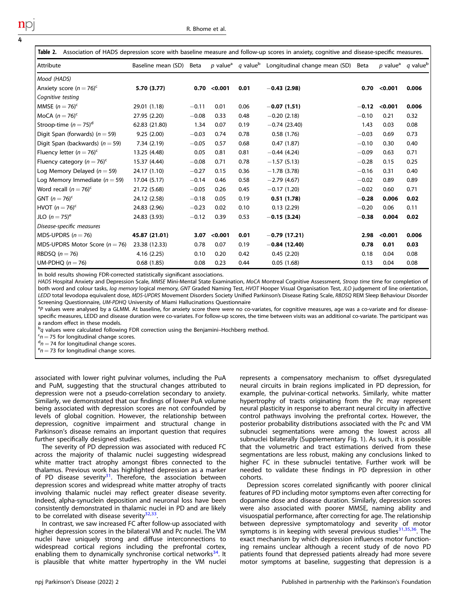<span id="page-3-0"></span>

| Association of HADS depression score with baseline measure and follow-up scores in anxiety, cognitive and disease-specific measures.<br>Table 2. |                    |         |                             |                             |                                    |         |                             |                      |  |  |
|--------------------------------------------------------------------------------------------------------------------------------------------------|--------------------|---------|-----------------------------|-----------------------------|------------------------------------|---------|-----------------------------|----------------------|--|--|
| Attribute                                                                                                                                        | Baseline mean (SD) | Beta    | <i>p</i> value <sup>a</sup> | <i>a</i> value <sup>b</sup> | Longitudinal change mean (SD) Beta |         | <i>p</i> value <sup>a</sup> | q value <sup>b</sup> |  |  |
| Mood (HADS)                                                                                                                                      |                    |         |                             |                             |                                    |         |                             |                      |  |  |
| Anxiety score $(n = 76)^c$                                                                                                                       | 5.70 (3.77)        | 0.70    | $<$ 0.001                   | 0.01                        | $-0.43(2.98)$                      | 0.70    | < 0.001                     | 0.006                |  |  |
| Cognitive testing                                                                                                                                |                    |         |                             |                             |                                    |         |                             |                      |  |  |
| MMSE $(n=76)^c$                                                                                                                                  | 29.01 (1.18)       | $-0.11$ | 0.01                        | 0.06                        | $-0.07(1.51)$                      | $-0.12$ | < 0.001                     | 0.006                |  |  |
| MoCA $(n=76)^c$                                                                                                                                  | 27.95 (2.20)       | $-0.08$ | 0.33                        | 0.48                        | $-0.20(2.18)$                      | $-0.10$ | 0.21                        | 0.32                 |  |  |
| Stroop-time $(n = 75)^d$                                                                                                                         | 62.83 (21.80)      | 1.34    | 0.07                        | 0.19                        | $-0.74(23.40)$                     | 1.43    | 0.03                        | 0.08                 |  |  |
| Digit Span (forwards) ( $n = 59$ )                                                                                                               | 9.25(2.00)         | $-0.03$ | 0.74                        | 0.78                        | 0.58(1.76)                         | $-0.03$ | 0.69                        | 0.73                 |  |  |
| Digit Span (backwards) ( $n = 59$ )                                                                                                              | 7.34(2.19)         | $-0.05$ | 0.57                        | 0.68                        | 0.47(1.87)                         | $-0.10$ | 0.30                        | 0.40                 |  |  |
| Fluency letter ( $n = 76$ ) <sup>c</sup>                                                                                                         | 13.25 (4.48)       | 0.05    | 0.81                        | 0.81                        | $-0.44(4.24)$                      | $-0.09$ | 0.63                        | 0.71                 |  |  |
| Fluency category $(n = 76)^c$                                                                                                                    | 15.37 (4.44)       | $-0.08$ | 0.71                        | 0.78                        | $-1.57(5.13)$                      | $-0.28$ | 0.15                        | 0.25                 |  |  |
| Log Memory Delayed ( $n = 59$ )                                                                                                                  | 24.17 (1.10)       | $-0.27$ | 0.15                        | 0.36                        | $-1.78(3.78)$                      | $-0.16$ | 0.31                        | 0.40                 |  |  |
| Log Memory Immediate ( $n = 59$ )                                                                                                                | 17.04 (5.17)       | $-0.14$ | 0.46                        | 0.58                        | $-2.79(4.67)$                      | $-0.02$ | 0.89                        | 0.89                 |  |  |
| Word recall $(n = 76)^c$                                                                                                                         | 21.72 (5.68)       | $-0.05$ | 0.26                        | 0.45                        | $-0.17(1.20)$                      | $-0.02$ | 0.60                        | 0.71                 |  |  |
| GNT $(n = 76)^c$                                                                                                                                 | 24.12 (2.58)       | $-0.18$ | 0.05                        | 0.19                        | 0.51(1.78)                         | $-0.28$ | 0.006                       | 0.02                 |  |  |
| HVOT $(n = 76)^c$                                                                                                                                | 24.83 (2.96)       | $-0.23$ | 0.02                        | 0.10                        | 0.13(2.29)                         | $-0.20$ | 0.06                        | 0.11                 |  |  |
| JLO $(n = 75)^e$                                                                                                                                 | 24.83 (3.93)       | $-0.12$ | 0.39                        | 0.53                        | $-0.15(3.24)$                      | $-0.38$ | 0.004                       | 0.02                 |  |  |
| Disease-specific measures                                                                                                                        |                    |         |                             |                             |                                    |         |                             |                      |  |  |
| MDS-UPDRS ( $n = 76$ )                                                                                                                           | 45.87 (21.01)      | 3.07    | < 0.001                     | 0.01                        | $-0.79(17.21)$                     | 2.98    | < 0.001                     | 0.006                |  |  |
| MDS-UPDRS Motor Score ( $n = 76$ )                                                                                                               | 23.38 (12.33)      | 0.78    | 0.07                        | 0.19                        | $-0.84(12.40)$                     | 0.78    | 0.01                        | 0.03                 |  |  |
| RBDSQ $(n = 76)$                                                                                                                                 | 4.16(2.25)         | 0.10    | 0.20                        | 0.42                        | 0.45(2.20)                         | 0.18    | 0.04                        | 0.08                 |  |  |
| UM-PDHQ $(n = 76)$                                                                                                                               | 0.68(1.85)         | 0.08    | 0.23                        | 0.44                        | 0.05(1.68)                         | 0.13    | 0.04                        | 0.08                 |  |  |

In bold results showing FDR-corrected statistically significant associations.

HADS Hospital Anxiety and Depression Scale, MMSE Mini-Mental State Examination, MoCA Montreal Cognitive Assessment, Stroop time time for completion of both word and colour tasks, log memory logical memory, GNT Graded Naming Test, HVOT Hooper Visual Organisation Test, JLO judgement of line orientation, LEDD total levodopa equivalent dose, MDS-UPDRS Movement Disorders Society Unified Parkinson's Disease Rating Scale, RBDSQ REM Sleep Behaviour Disorder Screening Questionnaire, UM-PDHQ University of Miami Hallucinations Questionnaire

<sup>a</sup>P values were analysed by a GLMM. At baseline, for anxiety score there were no co-variates, for cognitive measures, age was a co-variate and for diseasespecific measures, LEDD and disease duration were co-variates. For follow-up scores, the time between visits was an additional co-variate. The participant was a random effect in these models.

 $^{\text{b}}$ q values were calculated following FDR correction using the Benjamini–Hochberg method.

 $c_n = 75$  for longitudinal change scores.<br> $d_n = 74$  for longitudinal change scores

 $n = 74$  for longitudinal change scores.

 $e_n$  = 73 for longitudinal change scores.

associated with lower right pulvinar volumes, including the PuA and PuM, suggesting that the structural changes attributed to depression were not a pseudo-correlation secondary to anxiety. Similarly, we demonstrated that our findings of lower PuA volume being associated with depression scores are not confounded by levels of global cognition. However, the relationship between depression, cognitive impairment and structural change in Parkinson's disease remains an important question that requires further specifically designed studies.

The severity of PD depression was associated with reduced FC across the majority of thalamic nuclei suggesting widespread white matter tract atrophy amongst fibres connected to the thalamus. Previous work has highlighted depression as a marker of PD disease severity<sup>[31](#page-8-0)</sup>. Therefore, the association between depression scores and widespread white matter atrophy of tracts involving thalamic nuclei may reflect greater disease severity. Indeed, alpha-synuclein deposition and neuronal loss have been consistently demonstrated in thalamic nuclei in PD and are likely to be correlated with disease severity $32,33$ .

In contrast, we saw increased FC after follow-up associated with higher depression scores in the bilateral VM and Pc nuclei. The VM nuclei have uniquely strong and diffuse interconnections to widespread cortical regions including the prefrontal cortex, enabling them to dynamically synchronise cortical networks $34$ . It is plausible that white matter hypertrophy in the VM nuclei represents a compensatory mechanism to offset dysregulated neural circuits in brain regions implicated in PD depression, for example, the pulvinar-cortical networks. Similarly, white matter hypertrophy of tracts originating from the Pc may represent neural plasticity in response to aberrant neural circuity in affective control pathways involving the prefrontal cortex. However, the posterior probability distributions associated with the Pc and VM subnuclei segmentations were among the lowest across all subnuclei bilaterally (Supplementary Fig. 1). As such, it is possible that the volumetric and tract estimations derived from these segmentations are less robust, making any conclusions linked to higher FC in these subnuclei tentative. Further work will be needed to validate these findings in PD depression in other cohorts.

Depression scores correlated significantly with poorer clinical features of PD including motor symptoms even after correcting for dopamine dose and disease duration. Similarly, depression scores were also associated with poorer MMSE, naming ability and visuospatial performance, after correcting for age. The relationship between depressive symptomatology and severity of motor symptoms is in keeping with several previous studies<sup>[31,35](#page-8-0),36</sup>. The exact mechanism by which depression influences motor functioning remains unclear although a recent study of de novo PD patients found that depressed patients already had more severe motor symptoms at baseline, suggesting that depression is a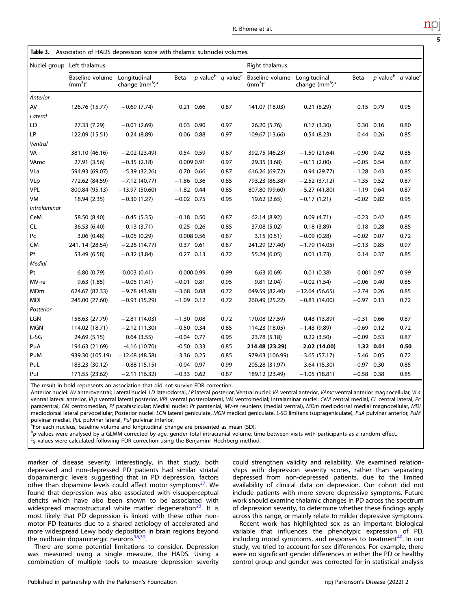|              | Baseline volume<br>(mm <sup>3</sup> ) <sup>a</sup> | Longitudinal<br>change $(mm3)a$ | Beta         |  | p value <sup>b</sup> q value <sup>c</sup> | Baseline volume<br>$\rm (mm^3)^a$ | Longitudinal<br>change $(mm3)a$ | Beta          | p value <sup>b</sup> q value <sup>o</sup> |      |
|--------------|----------------------------------------------------|---------------------------------|--------------|--|-------------------------------------------|-----------------------------------|---------------------------------|---------------|-------------------------------------------|------|
| Anterior     |                                                    |                                 |              |  |                                           |                                   |                                 |               |                                           |      |
| AV           | 126.76 (15.77)                                     | $-0.69(7.74)$                   | 0.21 0.66    |  | 0.87                                      | 141.07 (18.03)                    | 0.21(8.29)                      | $0.15$ 0.79   |                                           | 0.95 |
| Lateral      |                                                    |                                 |              |  |                                           |                                   |                                 |               |                                           |      |
| LD           | 27.33 (7.29)                                       | $-0.01(2.69)$                   | $0.03$ 0.90  |  | 0.97                                      | 26.20 (5.76)                      | 0.17(3.30)                      | $0.30$ $0.16$ |                                           | 0.80 |
| LP           | 122.09 (15.51)                                     | $-0.24(8.89)$                   | $-0.06$ 0.88 |  | 0.97                                      | 109.67 (13.66)                    | 0.54(8.23)                      | 0.44 0.26     |                                           | 0.85 |
| Ventral      |                                                    |                                 |              |  |                                           |                                   |                                 |               |                                           |      |
| VA           | 381.10 (46.16)                                     | $-2.02$ (23.49)                 | 0.54 0.59    |  | 0.87                                      | 392.75 (46.23)                    | $-1.50(21.64)$                  | $-0.90$ 0.42  |                                           | 0.85 |
| VAmc         | 27.91 (3.56)                                       | $-0.35(2.18)$                   | 0.009 0.91   |  | 0.97                                      | 29.35 (3.68)                      | $-0.11(2.00)$                   | $-0.05$       | 0.54                                      | 0.87 |
| VLa          | 594.93 (69.07)                                     | $-5.39(32.26)$                  | $-0.70$ 0.66 |  | 0.87                                      | 616.26 (69.72)                    | $-0.94(29.77)$                  | $-1.28$ 0.43  |                                           | 0.85 |
| VLp          | 772.62 (84.59)                                     | $-7.12(40.77)$                  | $-1.86$ 0.36 |  | 0.85                                      | 793.23 (86.38)                    | $-2.52(37.12)$                  | $-1.35$ 0.52  |                                           | 0.87 |
| VPL          | 800.84 (95.13)                                     | $-13.97(50.60)$                 | $-1.82$ 0.44 |  | 0.85                                      | 807.80 (99.60)                    | $-5.27(41.80)$                  | $-1.19$ 0.64  |                                           | 0.87 |
| VM           | 18.94 (2.35)                                       | $-0.30(1.27)$                   | $-0.02$ 0.75 |  | 0.95                                      | 19.62 (2.65)                      | $-0.17(1.21)$                   | $-0.02$ 0.82  |                                           | 0.95 |
| Intralaminar |                                                    |                                 |              |  |                                           |                                   |                                 |               |                                           |      |
| CeM          | 58.50 (8.40)                                       | $-0.45(5.35)$                   | $-0.18$ 0.50 |  | 0.87                                      | 62.14 (8.92)                      | 0.09(4.71)                      | $-0.23$ 0.42  |                                           | 0.85 |
| CL           | 36.53 (6.40)                                       | 0.13(3.71)                      | $0.25$ 0.26  |  | 0.85                                      | 37.08 (5.02)                      | 0.18(3.89)                      | $0.18$ 0.28   |                                           | 0.85 |
| Pc           | 3.06(0.48)                                         | $-0.05(0.29)$                   | 0.008 0.56   |  | 0.87                                      | 3.15(0.51)                        | $-0.09(0.28)$                   | $-0.02$ 0.07  |                                           | 0.72 |
| <b>CM</b>    | 241. 14 (28.54)                                    | $-2.26(14.77)$                  | 0.37 0.61    |  | 0.87                                      | 241.29 (27.40)                    | $-1.79(14.05)$                  | $-0.13$ 0.85  |                                           | 0.97 |
| Pf           | 53.49 (6.58)                                       | $-0.32(3.84)$                   | $0.27$ 0.13  |  | 0.72                                      | 55.24 (6.05)                      | 0.01(3.73)                      | $0.14$ 0.37   |                                           | 0.85 |
| Medial       |                                                    |                                 |              |  |                                           |                                   |                                 |               |                                           |      |
| Pt           | 6.80(0.79)                                         | $-0.003(0.41)$                  | 0.000 0.99   |  | 0.99                                      | 6.63(0.69)                        | 0.01(0.38)                      | 0.001 0.97    |                                           | 0.99 |
| MV-re        | 9.63(1.85)                                         | $-0.05(1.41)$                   | $-0.01$ 0.81 |  | 0.95                                      | 9.81(2.04)                        | $-0.02$ (1.54)                  | $-0.06$ 0.40  |                                           | 0.85 |
| MDm          | 624.67 (82.33)                                     | $-9.78(43.98)$                  | $-3.68$ 0.08 |  | 0.72                                      | 649.59 (82.40)                    | $-12.64(56.65)$                 | $-2.74$ 0.26  |                                           | 0.85 |

The result in bold represents an association that did not survive FDR correction.

<span id="page-4-0"></span>Table 3. Association of HADS depression score with thalamic subnuclei volumes.

Lateral

Ventral

 $Intralai$ 

Medial

Posterior

Nuclei group Left thalamus **Right thalamus** Right thalamus

Anterior nuclei: AV anteroventral; Lateral nuclei: LD laterodorsal, LP lateral posterior, Ventral nuclei: VA ventral anterior, VAmc ventral anterior magnocellular, VLa ventral lateral anterior, VLp ventral lateral posterior, VPL ventral posterolateral, VM ventromedial; Intralaminar nuclei: CeM central medial, CL central lateral, Pc paracentral, CM centromedian, Pf parafascicular; Medial nuclei: Pt paratenial, MV-re reuniens (medial ventral), MDm mediodorsal medial magnocellular, MDI mediodorsal lateral parvocellular; Posterior nuclei: LGN lateral geniculate, MGN medical geniculate, L-SG limitans (suprageniculate), PuA pulvinar anterior, PuM pulvinar medial, PuL pulvinar lateral, Pul pulvinar inferior.

MDl 245.00 (27.60) −0.93 (15.29) −1.09 0.12 0.72 260.49 (25.22) −0.81 (14.00) −0.97 0.13 0.72

LGN 158.63 (27.79) −2.81 (14.03) −1.30 0.08 0.72 170.08 (27.59) 0.43 (13.89) −0.31 0.66 0.87 MGN 114.02 (18.71) −2.12 (11.30) −0.50 0.34 0.85 114.23 (18.05) −1.43 (9.89) −0.69 0.12 0.72 L-SG 24.69 (5.15) 0.64 (3.55) −0.04 0.77 0.95 23.78 (5.18) 0.22 (3.50) −0.09 0.53 0.87 PuA 194.63 (21.69) -4.16 (10.70) -0.50 0.33 0.85 **214.48 (23.29**) -**2.02 (14.00) -1.32 0.01 0.50** PuM 939.30 (105.19) −12.68 (48.58) −3.36 0.25 0.85 979.63 (106.99) −3.65 (57.17) −5.46 0.05 0.72 PuL 183.23 (30.12) −0.88 (15.15) −0.04 0.97 0.99 205.28 (31.97) 3.64 (15.30) −0.97 0.30 0.85 PuI 171.55 (23.62) −2.11 (16.32) −0.33 0.62 0.87 189.12 (23.49) −1.05 (18.81) −0.58 0.38 0.85

<sup>a</sup>For each nucleus, baseline volume and longitudinal change are presented as mean (SD).

b<sub>p</sub> values were analysed by a GLMM corrected by age, gender total intracranial volume, time between visits with participants as a random effect.

<sup>c</sup>q values were calculated following FDR correction using the Benjamini–Hochberg method.

marker of disease severity. Interestingly, in that study, both depressed and non-depressed PD patients had similar striatal dopaminergic levels suggesting that in PD depression, factors other than dopamine levels could affect motor symptoms<sup>37</sup>. We found that depression was also associated with visuoperceptual deficits which have also been shown to be associated with widespread macrostructural white matter degeneration $2^3$ . It is most likely that PD depression is linked with these other nonmotor PD features due to a shared aetiology of accelerated and more widespread Lewy body deposition in brain regions beyond the midbrain dopaminergic neurons $38,39$  $38,39$ .

There are some potential limitations to consider. Depression was measured using a single measure, the HADS. Using a combination of multiple tools to measure depression severity could strengthen validity and reliability. We examined relationships with depression severity scores, rather than separating depressed from non-depressed patients, due to the limited availability of clinical data on depression. Our cohort did not include patients with more severe depressive symptoms. Future work should examine thalamic changes in PD across the spectrum of depression severity, to determine whether these findings apply across this range, or mainly relate to milder depressive symptoms.

Recent work has highlighted sex as an important biological variable that influences the phenotypic expression of PD, including mood symptoms, and responses to treatment<sup>[40](#page-9-0)</sup>. In our study, we tried to account for sex differences. For example, there were no significant gender differences in either the PD or healthy control group and gender was corrected for in statistical analysis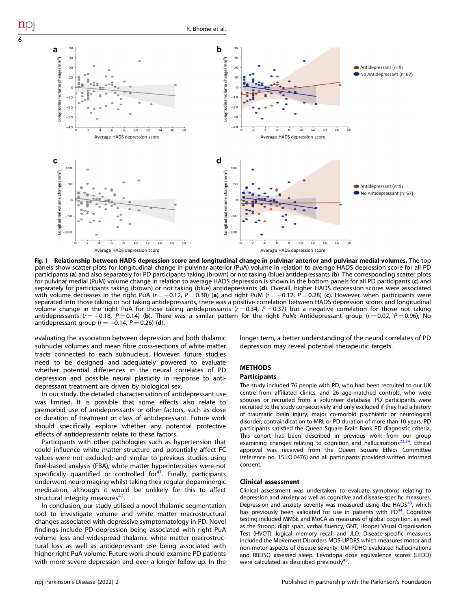<span id="page-5-0"></span>

Fig. 1 Relationship between HADS depression score and longitudinal change in pulvinar anterior and pulvinar medial volumes. The top panels show scatter plots for longitudinal change in pulvinar anterior (PuA) volume in relation to average HADS depression score for all PD participants (a) and also separately for PD participants taking (brown) or not taking (blue) antidepressants (b). The corresponding scatter plots for pulvinar medial (PuM) volume change in relation to average HADS depression is shown in the bottom panels for all PD participants (c) and separately for participants taking (brown) or not taking (blue) antidepressants (d). Overall, higher HADS depression scores were associated with volume decreases in the right PuA (r = -0.12, P = 0.30) (a) and right PuM (r = -0.12, P = 0.28) (c). However, when participants were separated into those taking or not taking antidepressants, there was a positive correlation between HADS depression scores and longitudinal volume change in the right PuA for those taking antidepressants ( $r = 0.34$ ,  $P = 0.37$ ) but a negative correlation for those not taking antidepressants ( $r = -0.18$ , P = 0.14) (b). There was a similar pattern for the right PuM; Antidepressant group ( $r = 0.02$ , P = 0.96); No antidepressant group ( $r = -0.14$ ,  $P = 0.26$ ) (d).

evaluating the association between depression and both thalamic subnuclei volumes and mean fibre cross-sections of white matter tracts connected to each subnucleus. However, future studies need to be designed and adequately powered to evaluate whether potential differences in the neural correlates of PD depression and possible neural plasticity in response to antidepressant treatment are driven by biological sex.

In our study, the detailed characterisation of antidepressant use was limited. It is possible that some effects also relate to premorbid use of antidepressants or other factors, such as dose or duration of treatment or class of antidepressant. Future work should specifically explore whether any potential protective effects of antidepressants relate to these factors.

Participants with other pathologies such as hypertension that could influence white matter structure and potentially affect FC values were not excluded; and similar to previous studies using fixel-based analysis (FBA), white matter hyperintensities were not specifically quantified or controlled for $41$ . Finally, participants underwent neuroimaging whilst taking their regular dopaminergic medication, although it would be unlikely for this to affect structural integrity measures<sup>[42](#page-9-0)</sup>.

In conclusion, our study utilised a novel thalamic segmentation tool to investigate volume and white matter macrostructural changes associated with depressive symptomatology in PD. Novel findings include PD depression being associated with right PuA volume loss and widespread thalamic white matter macrostructural loss as well as antidepressant use being associated with higher right PuA volume. Future work should examine PD patients with more severe depression and over a longer follow-up. In the longer term, a better understanding of the neural correlates of PD depression may reveal potential therapeutic targets.

## **METHODS**

#### Participants

The study included 76 people with PD, who had been recruited to our UK centre from affiliated clinics, and 26 age-matched controls, who were spouses or recruited from a volunteer database. PD participants were recruited to the study consecutively and only excluded if they had a history of traumatic brain injury; major co-morbid psychiatric or neurological disorder; contraindication to MRI; or PD duration of more than 10 years. PD participants satisfied the Queen Square Brain Bank PD diagnostic criteria. This cohort has been described in previous work from our group examining changes relating to cognition and hallucinations<sup>[23,24](#page-8-0)</sup>. Ethical approval was received from the Queen Square Ethics Committee (reference no. 15.LO.0476) and all participants provided written informed consent.

## Clinical assessment

Clinical assessment was undertaken to evaluate symptoms relating to depression and anxiety as well as cognitive and disease-specific measures. Depression and anxiety severity was measured using the  $HADS<sup>43</sup>$ , which has previously been validated for use in patients with PD<sup>44</sup>. Cognitive testing included MMSE and MoCA as measures of global cognition, as well as the Stroop, digit span, verbal fluency, GNT, Hooper Visual Organisation Test (HVOT), logical memory recall and JLO. Disease-specific measures included the Movement Disorders MDS-UPDRS which measures motor and non-motor aspects of disease severity, UM-PDHQ evaluated hallucinations and RBDSQ assessed sleep. Levodopa dose equivalence scores (LEDD) were calculated as described previously<sup>45</sup>.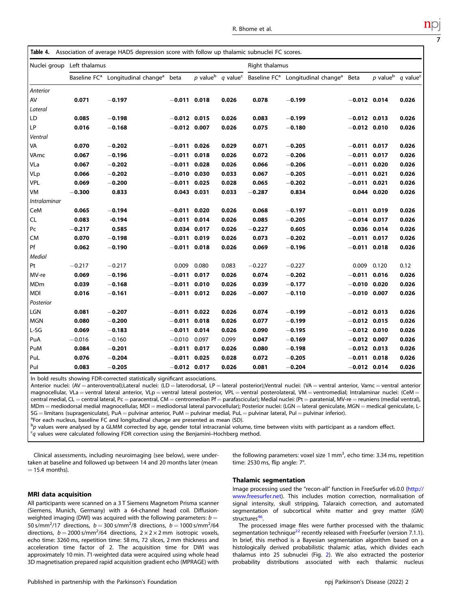<span id="page-6-0"></span>

|                            |          | Table 4. Association of average HADS depression score with follow up thalamic subnuclei FC scores. |                |             |                                           |          |                                                           |                |                        |                      |
|----------------------------|----------|----------------------------------------------------------------------------------------------------|----------------|-------------|-------------------------------------------|----------|-----------------------------------------------------------|----------------|------------------------|----------------------|
| Nuclei group Left thalamus |          |                                                                                                    | Right thalamus |             |                                           |          |                                                           |                |                        |                      |
|                            |          | Baseline FC <sup>a</sup> Longitudinal change <sup>a</sup>                                          | beta           |             | p value <sup>b</sup> q value <sup>c</sup> |          | Baseline FC <sup>a</sup> Longitudinal change <sup>a</sup> | Beta           | $p$ value <sup>b</sup> | q value <sup>c</sup> |
| Anterior                   |          |                                                                                                    |                |             |                                           |          |                                                           |                |                        |                      |
| AV                         | 0.071    | $-0.197$                                                                                           | $-0.011$ 0.018 |             | 0.026                                     | 0.078    | $-0.199$                                                  | $-0.012$ 0.014 |                        | 0.026                |
| Lateral                    |          |                                                                                                    |                |             |                                           |          |                                                           |                |                        |                      |
| LD                         | 0.085    | $-0.198$                                                                                           | $-0.012$ 0.015 |             | 0.026                                     | 0.083    | $-0.199$                                                  | $-0.012$ 0.013 |                        | 0.026                |
| LP                         | 0.016    | $-0.168$                                                                                           | $-0.012$ 0.007 |             | 0.026                                     | 0.075    | $-0.180$                                                  | $-0.012$ 0.010 |                        | 0.026                |
| Ventral                    |          |                                                                                                    |                |             |                                           |          |                                                           |                |                        |                      |
| VA                         | 0.070    | $-0.202$                                                                                           | $-0.011$ 0.026 |             | 0.029                                     | 0.071    | $-0.205$                                                  | $-0.011$ 0.017 |                        | 0.026                |
| VAmc                       | 0.067    | $-0.196$                                                                                           | $-0.011$ 0.018 |             | 0.026                                     | 0.072    | $-0.206$                                                  | $-0.011$ 0.017 |                        | 0.026                |
| VLa                        | 0.067    | $-0.202$                                                                                           | $-0.011$ 0.028 |             | 0.026                                     | 0.066    | $-0.206$                                                  | $-0.011$ 0.020 |                        | 0.026                |
| <b>VLp</b>                 | 0.066    | $-0.202$                                                                                           | $-0.010$ 0.030 |             | 0.033                                     | 0.067    | $-0.205$                                                  | $-0.011$ 0.021 |                        | 0.026                |
| <b>VPL</b>                 | 0.069    | $-0.200$                                                                                           | $-0.011$ 0.025 |             | 0.028                                     | 0.065    | $-0.202$                                                  | $-0.011$ 0.021 |                        | 0.026                |
| VM                         | $-0.300$ | 0.833                                                                                              |                | 0.043 0.031 | 0.033                                     | $-0.287$ | 0.834                                                     |                | 0.044 0.020            | 0.026                |
| Intralaminar               |          |                                                                                                    |                |             |                                           |          |                                                           |                |                        |                      |
| CeM                        | 0.065    | $-0.194$                                                                                           | $-0.011$ 0.020 |             | 0.026                                     | 0.068    | $-0.197$                                                  | $-0.011$ 0.019 |                        | 0.026                |
| <b>CL</b>                  | 0.083    | $-0.194$                                                                                           | $-0.011$ 0.014 |             | 0.026                                     | 0.085    | $-0.205$                                                  | $-0.014$ 0.017 |                        | 0.026                |
| P <sub>C</sub>             | $-0.217$ | 0.585                                                                                              |                | 0.034 0.017 | 0.026                                     | $-0.227$ | 0.605                                                     |                | 0.036 0.014            | 0.026                |
| <b>CM</b>                  | 0.070    | $-0.198$                                                                                           | $-0.011$ 0.019 |             | 0.026                                     | 0.073    | $-0.202$                                                  | $-0.011$ 0.017 |                        | 0.026                |
| Pf                         | 0.062    | $-0.190$                                                                                           | $-0.011$ 0.018 |             | 0.026                                     | 0.069    | $-0.196$                                                  | $-0.011$ 0.018 |                        | 0.026                |
| Medial                     |          |                                                                                                    |                |             |                                           |          |                                                           |                |                        |                      |
| Pt                         | $-0.217$ | $-0.217$                                                                                           | 0.009          | 0.080       | 0.083                                     | $-0.227$ | $-0.227$                                                  | 0.009          | 0.120                  | 0.12                 |
| MV-re                      | 0.069    | $-0.196$                                                                                           | $-0.011$ 0.017 |             | 0.026                                     | 0.074    | $-0.202$                                                  | $-0.011$ 0.016 |                        | 0.026                |
| MDm                        | 0.039    | $-0.168$                                                                                           | $-0.011$ 0.010 |             | 0.026                                     | 0.039    | $-0.177$                                                  | $-0.010$ 0.020 |                        | 0.026                |
| <b>MDI</b>                 | 0.016    | $-0.161$                                                                                           | $-0.011$ 0.012 |             | 0.026                                     | $-0.007$ | $-0.110$                                                  | $-0.010$ 0.007 |                        | 0.026                |
| Posterior                  |          |                                                                                                    |                |             |                                           |          |                                                           |                |                        |                      |
| <b>LGN</b>                 | 0.081    | $-0.207$                                                                                           | $-0.011$ 0.022 |             | 0.026                                     | 0.074    | $-0.199$                                                  | $-0.012$ 0.013 |                        | 0.026                |
| <b>MGN</b>                 | 0.080    | $-0.200$                                                                                           | $-0.011$ 0.018 |             | 0.026                                     | 0.077    | $-0.199$                                                  | $-0.012$ 0.015 |                        | 0.026                |
| L-SG                       | 0.069    | $-0.183$                                                                                           | $-0.011$ 0.014 |             | 0.026                                     | 0.090    | $-0.195$                                                  | $-0.012$ 0.010 |                        | 0.026                |
| PuA                        | $-0.016$ | $-0.160$                                                                                           | $-0.010$       | 0.097       | 0.099                                     | 0.047    | $-0.169$                                                  | $-0.012$ 0.007 |                        | 0.026                |
| PuM                        | 0.084    | $-0.201$                                                                                           | $-0.011$ 0.017 |             | 0.026                                     | 0.080    | $-0.198$                                                  | $-0.012$ 0.013 |                        | 0.026                |
| PuL                        | 0.076    | $-0.204$                                                                                           | $-0.011$ 0.025 |             | 0.028                                     | 0.072    | $-0.205$                                                  | $-0.011$ 0.018 |                        | 0.026                |
| Pul                        | 0.083    | $-0.205$                                                                                           | $-0.012$ 0.017 |             | 0.026                                     | 0.081    | $-0.204$                                                  | $-0.012$ 0.014 |                        | 0.026                |

In bold results showing FDR-corrected statistically significant associations.

Anterior nuclei: (AV = anteroventral);Lateral nuclei: (LD = laterodorsal, LP = lateral posterior);Ventral nuclei: (VA = ventral anterior, Vamc = ventral anterior magnocellular, VLa = ventral lateral anterior, VLp = ventral lateral posterior, VPL = ventral posterolateral, VM = ventromedial; Intralaminar nuclei: (CeM = central medial, CL = central lateral, Pc = paracentral, CM = centromedian Pf = parafascicular); Medial nuclei: (Pt = paratenial, MV-re = reuniens (medial ventral), MDm = mediodorsal medial magnocellular, MDI = mediodorsal lateral parvocellular); Posterior nuclei: (LGN = lateral geniculate, MGN = medical geniculate, L-SG = limitans (suprageniculate), PuA = pulvinar anterior, PuM = pulvinar medial, PuL = pulvinar lateral, PuI = pulvinar inferior).

<sup>a</sup>For each nucleus, baseline FC and longitudinal change are presented as mean (SD).

b<sub>p</sub> values were analysed by a GLMM corrected by age, gender total intracranial volume, time between visits with participant as a random effect.<br>So values were calculated following EDB correction using the Benjamini-Hochbe  $q$  values were calculated following FDR correction using the Benjamini–Hochberg method.

Clinical assessments, including neuroimaging (see below), were undertaken at baseline and followed up between 14 and 20 months later (mean  $= 15.4$  months).

the following parameters: voxel size  $1 \text{ mm}^3$ , echo time: 3.34 ms, repetition time: 2530 ms, flip angle: 7°.

## MRI data acquisition

All participants were scanned on a 3 T Siemens Magnetom Prisma scanner (Siemens, Munich, Germany) with a 64-channel head coil. Diffusionweighted imaging (DWI) was acquired with the following parameters:  $b =$ 50 s/mm<sup>2</sup>/17 directions,  $b = 300$  s/mm<sup>2</sup>/8 directions,  $b = 1000$  s/mm<sup>2</sup>/64 directions,  $b = 2000 \text{ s/mm}^2/64$  directions,  $2 \times 2 \times 2 \text{ mm}$  isotropic voxels, echo time: 3260 ms, repetition time: 58 ms, 72 slices, 2 mm thickness and acceleration time factor of 2. The acquisition time for DWI was approximately 10 min. T1-weighted data were acquired using whole head 3D magnetisation prepared rapid acquisition gradient echo (MPRAGE) with

#### Thalamic segmentation

Image processing used the "recon-all" function in FreeSurfer v6.0.0 [\(http://](http://www.freesurfer.net) [www.freesurfer.net](http://www.freesurfer.net)). This includes motion correction, normalisation of signal intensity, skull stripping, Talaraich correction, and automated segmentation of subcortical white matter and grey matter (GM) structures<sup>46</sup>.

The processed image files were further processed with the thalamic segmentation technique<sup>22</sup> recently released with FreeSurfer (version 7.1.1). In brief, this method is a Bayesian segmentation algorithm based on a histologically derived probabilistic thalamic atlas, which divides each thalamus into 25 subnuclei (Fig. [2\)](#page-7-0). We also extracted the posterior probability distributions associated with each thalamic nucleus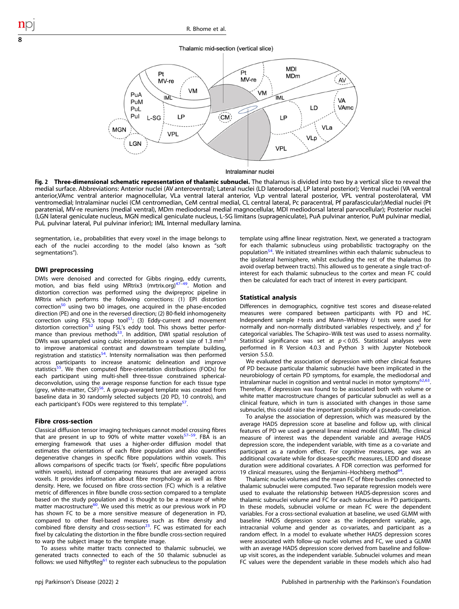## Thalamic mid-section (vertical slice)

<span id="page-7-0"></span>

Intralaminar nuclei

**Fig. 2 Three-dimensional schematic representation of thalamic subnuclei.** The thalamus is divided into two by a vertical slice to reveal the<br>medial surface. Abbreviations: Anterior nuclei (AV anteroventral); Lateral nu anterior,VAmc ventral anterior magnocellular, VLa ventral lateral anterior, VLp ventral lateral posterior, VPL ventral posterolateral, VM ventromedial; Intralaminar nuclei (CM centromedian, CeM central medial, CL central lateral, Pc paracentral, Pf parafascicular);Medial nuclei (Pt paratenial, MV-re reuniens (medial ventral), MDm mediodorsal medial magnocellular, MDl mediodorsal lateral parvocellular); Posterior nuclei (LGN lateral geniculate nucleus, MGN medical geniculate nucleus, L-SG limitans (suprageniculate), PuA pulvinar anterior, PuM pulvinar medial, PuL pulvinar lateral, PuI pulvinar inferior); IML Internal medullary lamina.

segmentation, i.e., probabilities that every voxel in the image belongs to each of the nuclei according to the model (also known as "soft segmentations").

## DWI preprocessing

DWIs were denoised and corrected for Gibbs ringing, eddy currents, motion, and bias field using MRtrix3 (mrtrix.org) $47-49$  $47-49$  $47-49$ . Motion and distortion correction was performed using the dwipreproc pipeline in MRtrix which performs the following corrections: (1) EPI distortion correction<sup>50</sup> using two b0 images, one acquired in the phase-encoded direction (PE) and one in the reversed direction; (2) B0-field inhomogeneity correction using FSL's topup tool<sup>51</sup>; (3) Eddy-current and movement distortion correction<sup>[52](#page-9-0)</sup> using FSL's eddy tool. This shows better performance than previous methods<sup>53</sup>. In addition, DWI spatial resolution of DWIs was upsampled using cubic interpolation to a voxel size of 1.3 mm<sup>3</sup> to improve anatomical contrast and downstream template building, registration and statistics<sup>54</sup>. Intensity normalisation was then performed across participants to increase anatomic delineation and improve statistics<sup>55</sup>. We then computed fibre-orientation distributions (FODs) for each participant using multi-shell three-tissue constrained sphericaldeconvolution, using the average response function for each tissue type (grey, white-matter,  $CSE^{56}$ . A group-averaged template was created from baseline data in 30 randomly selected subjects (20 PD, 10 controls), and each participant's FODs were registered to this template<sup>57</sup>.

#### Fibre cross-section

Classical diffusion tensor imaging techniques cannot model crossing fibres that are present in up to 90% of white matter voxels<sup>[57](#page-9-0)-59</sup>. FBA is an emerging framework that uses a higher-order diffusion model that estimates the orientations of each fibre population and also quantifies degenerative changes in specific fibre populations within voxels. This allows comparisons of specific tracts (or 'fixels', specific fibre populations within voxels), instead of comparing measures that are averaged across voxels. It provides information about fibre morphology as well as fibre density. Here, we focused on fibre cross-section (FC) which is a relative metric of differences in fibre bundle cross-section compared to a template based on the study population and is thought to be a measure of white matter macrostructure<sup>60</sup>. We used this metric as our previous work in PD has shown FC to be a more sensitive measure of degeneration in PD, compared to other fixel-based measures such as fibre density and combined fibre density and cross-section<sup>23</sup>. FC was estimated for each fixel by calculating the distortion in the fibre bundle cross-section required to warp the subject image to the template image.

To assess white matter tracts connected to thalamic subnuclei, we generated tracts connected to each of the 50 thalamic subnuclei as follows: we used NiftytReg $61$  to register each subnucleus to the population template using affine linear registration. Next, we generated a tractogram for each thalamic subnucleus using probabilistic tractography on the population<sup>54</sup>. We initiated streamlines within each thalamic subnucleus to the ipsilateral hemisphere, whilst excluding the rest of the thalamus (to avoid overlap between tracts). This allowed us to generate a single tract-ofinterest for each thalamic subnucleus to the cortex and mean FC could then be calculated for each tract of interest in every participant.

## Statistical analysis

Differences in demographics, cognitive test scores and disease-related measures were compared between participants with PD and HC. Independent sample t-tests and Mann–Whitney U tests were used for normally and non-normally distributed variables respectively, and  $x^2$  for categorical variables. The Schapiro–Wilk test was used to assess normality. Statistical significance was set at  $p < 0.05$ . Statistical analyses were performed in R Version 4.0.3 and Python 3 with Jupyter Notebook version 5.5.0.

We evaluated the association of depression with other clinical features of PD because particular thalamic subnuclei have been implicated in the neurobiology of certain PD symptoms, for example, the mediodorsal and intralaminar nuclei in cognition and ventral nuclei in motor symptoms $62,63$ . Therefore, if depression was found to be associated both with volume or white matter macrostructure changes of particular subnuclei as well as a clinical feature, which in turn is associated with changes in those same subnuclei, this could raise the important possibility of a pseudo-correlation.

To analyse the association of depression, which was measured by the average HADS depression score at baseline and follow up, with clinical features of PD we used a general linear mixed model (GLMM). The clinical measure of interest was the dependent variable and average HADS depression score, the independent variable, with time as a co-variate and participant as a random effect. For cognitive measures, age was an additional covariate while for disease-specific measures, LEDD and disease duration were additional covariates. A FDR correction was performed for 19 clinical measures, using the Benjamini–Hochberg method $^{64}$ .

Thalamic nuclei volumes and the mean FC of fibre bundles connected to thalamic subnuclei were computed. Two separate regression models were used to evaluate the relationship between HADS-depression scores and thalamic subnuclei volume and FC for each subnucleus in PD participants. In these models, subnuclei volume or mean FC were the dependent variables. For a cross-sectional evaluation at baseline, we used GLMM with baseline HADS depression score as the independent variable, age, intracranial volume and gender as co-variates, and participant as a random effect. In a model to evaluate whether HADS depression scores were associated with follow-up nuclei volumes and FC, we used a GLMM with an average HADS depression score derived from baseline and followup visit scores, as the independent variable. Subnuclei volumes and mean FC values were the dependent variable in these models which also had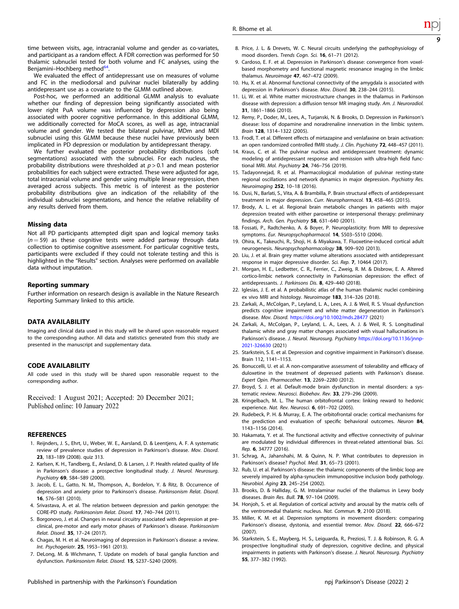<span id="page-8-0"></span>time between visits, age, intracranial volume and gender as co-variates, and participant as a random effect. A FDR correction was performed for 50 thalamic subnuclei tested for both volume and FC analyses, using the Benjamini–Hochberg method<sup>64</sup>.

We evaluated the effect of antidepressant use on measures of volume and FC in the mediodorsal and pulvinar nuclei bilaterally by adding antidepressant use as a covariate to the GLMM outlined above.

Post-hoc, we performed an additional GLMM analysis to evaluate whether our finding of depression being significantly associated with lower right PuA volume was influenced by depression also being associated with poorer cognitive performance. In this additional GLMM, we additionally corrected for MoCA scores, as well as age, intracranial volume and gender. We tested the bilateral pulvinar, MDm and MDl subnuclei using this GLMM because these nuclei have previously been implicated in PD depression or modulation by antidepressant therapy.

We further evaluated the posterior probability distributions (soft segmentations) associated with the subnuclei. For each nucleus, the probability distributions were thresholded at  $p > 0.1$  and mean posterior probabilities for each subject were extracted. These were adjusted for age, total intracranial volume and gender using multiple linear regression, then averaged across subjects. This metric is of interest as the posterior probability distributions give an indication of the reliability of the individual subnuclei segmentations, and hence the relative reliability of any results derived from them.

#### Missing data

Not all PD participants attempted digit span and logical memory tasks  $(n = 59)$  as these cognitive tests were added partway through data collection to optimise cognitive assessment. For particular cognitive tests, participants were excluded if they could not tolerate testing and this is highlighted in the "Results" section. Analyses were performed on available data without imputation.

#### Reporting summary

Further information on research design is available in the Nature Research Reporting Summary linked to this article.

## DATA AVAILABILITY

Imaging and clinical data used in this study will be shared upon reasonable request to the corresponding author. All data and statistics generated from this study are presented in the manuscript and supplementary data.

## CODE AVAILABILITY

All code used in this study will be shared upon reasonable request to the corresponding author.

Received: 1 August 2021; Accepted: 20 December 2021; Published online: 10 January 2022

#### **REFERENCES**

- 1. Reijnders, J. S., Ehrt, U., Weber, W. E., Aarsland, D. & Leentjens, A. F. A systematic review of prevalence studies of depression in Parkinson's disease. Mov. Disord. 23, 183–189 (2008). quiz 313.
- 2. Karlsen, K. H., Tandberg, E., Arsland, D. & Larsen, J. P. Health related quality of life in Parkinson's disease: a prospective longitudinal study. J. Neurol. Neurosurg. Psychiatry 69, 584–589 (2000).
- 3. Jacob, E. L., Gatto, N. M., Thompson, A., Bordelon, Y. & Ritz, B. Occurrence of depression and anxiety prior to Parkinson's disease. Parkinsonism Relat. Disord. 16, 576–581 (2010).
- 4. Srivastava, A. et al. The relation between depression and parkin genotype: the CORE-PD study. Parkinsonism Relat. Disord. 17, 740–744 (2011).
- 5. Borgonovo, J. et al. Changes in neural circuitry associated with depression at preclinical, pre-motor and early motor phases of Parkinson's disease. Parkinsonism Relat. Disord. 35, 17–24 (2017).
- 6. Chagas, M. H. et al. Neuroimaging of depression in Parkinson's disease: a review. Int. Psychogeriatr. 25, 1953–1961 (2013).
- 7. DeLong, M. & Wichmann, T. Update on models of basal ganglia function and dysfunction. Parkinsonism Relat. Disord. 15, S237–S240 (2009).
- 8. Price, J. L. & Drevets, W. C. Neural circuits underlying the pathophysiology of mood disorders. Trends Cogn. Sci. 16, 61–71 (2012).
- 9. Cardoso, E. F. et al. Depression in Parkinson's disease: convergence from voxelbased morphometry and functional magnetic resonance imaging in the limbic thalamus. Neuroimage 47, 467–472 (2009).
- 10. Hu, X. et al. Abnormal functional connectivity of the amygdala is associated with depression in Parkinson's disease. Mov. Disord. 30, 238–244 (2015).
- 11. Li, W. et al. White matter microstructure changes in the thalamus in Parkinson disease with depression: a diffusion tensor MR imaging study. Am. J. Neuroradiol. 31, 1861–1866 (2010).
- 12. Remy, P., Doder, M., Lees, A., Turjanski, N. & Brooks, D. Depression in Parkinson's disease: loss of dopamine and noradrenaline innervation in the limbic system. Brain 128, 1314–1322 (2005).
- 13. Frodl, T. et al. Different effects of mirtazapine and venlafaxine on brain activation: an open randomized controlled fMRI study. J. Clin. Psychiatry 72, 448-457 (2011).
- 14. Kraus, C. et al. The pulvinar nucleus and antidepressant treatment: dynamic modeling of antidepressant response and remission with ultra-high field functional MRI. Mol. Psychiatry 24, 746–756 (2019).
- 15. Tadayonnejad, R. et al. Pharmacological modulation of pulvinar resting-state regional oscillations and network dynamics in major depression. Psychiatry Res. Neuroimaging 252, 10–18 (2016).
- 16. Dusi, N., Barlati, S., Vita, A. & Brambilla, P. Brain structural effects of antidepressant treatment in major depression. Curr. Neuropharmacol. 13, 458–465 (2015).
- 17. Brody, A. L. et al. Regional brain metabolic changes in patients with major depression treated with either paroxetine or interpersonal therapy: preliminary findings. Arch. Gen. Psychiatry 58, 631–640 (2001).
- 18. Fossati, P., Radtchenko, A. & Boyer, P. Neuroplasticity: from MRI to depressive symptoms. Eur. Neuropsychopharmacol. 14, S503-S510 (2004).
- 19. Ohira, K., Takeuchi, R., Shoji, H. & Miyakawa, T. Fluoxetine-induced cortical adult neurogenesis. Neuropsychopharmacology 38, 909–920 (2013).
- 20. Liu, J. et al. Brain grey matter volume alterations associated with antidepressant response in major depressive disorder. Sci. Rep. 7, 10464 (2017).
- 21. Morgan, H. E., Ledbetter, C. R., Ferrier, C., Zweig, R. M. & Disbrow, E. A. Altered cortico-limbic network connectivity in Parkinsonian depression: the effect of antidepressants. J. Parkinsons Dis. 8, 429–440 (2018).
- 22. Iglesias, J. E. et al. A probabilistic atlas of the human thalamic nuclei combining ex vivo MRI and histology. Neuroimage 183, 314–326 (2018).
- 23. Zarkali, A., McColgan, P., Leyland, L. A., Lees, A. J. & Weil, R. S. Visual dysfunction predicts cognitive impairment and white matter degeneration in Parkinson's disease. Mov. Disord. <https://doi.org/10.1002/mds.28477> (2021)
- 24. Zarkali, A., McColgan, P., Leyland, L. A., Lees, A. J. & Weil, R. S. Longitudinal thalamic white and gray matter changes associated with visual hallucinations in Parkinson's disease. J. Neurol. Neurosurg. Psychiatry [https://doi.org/10.1136/jnnp-](https://doi.org/10.1136/jnnp-2021-326630)[2021-326630](https://doi.org/10.1136/jnnp-2021-326630) (2021)
- 25. Starkstein, S. E. et al. Depression and cognitive impairment in Parkinson's disease. Brain 112, 1141–1153.
- 26. Bonuccelli, U. et al. A non-comparative assessment of tolerability and efficacy of duloxetine in the treatment of depressed patients with Parkinson's disease. Expert Opin. Pharmacother. 13, 2269–2280 (2012).
- 27. Broyd, S. J. et al. Default-mode brain dysfunction in mental disorders: a systematic review. Neurosci. Biobehav. Rev. 33, 279–296 (2009).
- 28. Kringelbach, M. L. The human orbitofrontal cortex: linking reward to hedonic experience. Nat. Rev. Neurosci. 6, 691–702 (2005).
- 29. Rudebeck, P. H. & Murray, E. A. The orbitofrontal oracle: cortical mechanisms for the prediction and evaluation of specific behavioral outcomes. Neuron 84, 1143–1156 (2014).
- 30. Hakamata, Y. et al. The functional activity and effective connectivity of pulvinar are modulated by individual differences in threat-related attentional bias. Sci. Rep. 6, 34777 (2016).
- 31. Schrag, A., Jahanshahi, M. & Quinn, N. P. What contributes to depression in Parkinson's disease? Psychol. Med. 31, 65–73 (2001).
- 32. Rub, U. et al. Parkinson's disease: the thalamic components of the limbic loop are severely impaired by alpha-synuclein immunopositive inclusion body pathology. Neurobiol. Aging 23, 245–254 (2002).
- 33. Brooks, D. & Halliday, G. M. Intralaminar nuclei of the thalamus in Lewy body diseases. Brain Res. Bull. 78, 97–104 (2009).
- 34. Honjoh, S. et al. Regulation of cortical activity and arousal by the matrix cells of the ventromedial thalamic nucleus. Nat. Commun. 9, 2100 (2018).
- 35. Miller, K. M. et al. Depression symptoms in movement disorders: comparing Parkinson's disease, dystonia, and essential tremor. Mov. Disord. 22, 666-672  $(2007)$
- 36. Starkstein, S. E., Mayberg, H. S., Leiguarda, R., Preziosi, T. J. & Robinson, R. G. A prospective longitudinal study of depression, cognitive decline, and physical impairments in patients with Parkinson's disease. J. Neurol. Neurosurg. Psychiatry 55, 377–382 (1992).